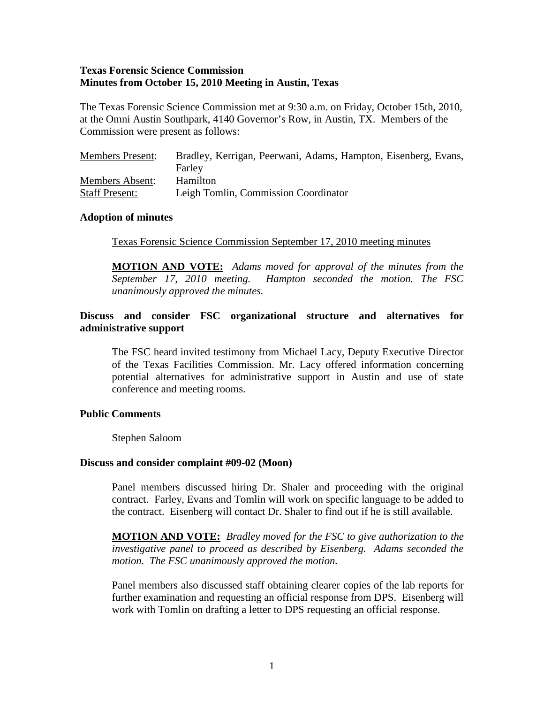## **Texas Forensic Science Commission Minutes from October 15, 2010 Meeting in Austin, Texas**

The Texas Forensic Science Commission met at 9:30 a.m. on Friday, October 15th, 2010, at the Omni Austin Southpark, 4140 Governor's Row, in Austin, TX. Members of the Commission were present as follows:

| <b>Members Present:</b> | Bradley, Kerrigan, Peerwani, Adams, Hampton, Eisenberg, Evans, |
|-------------------------|----------------------------------------------------------------|
|                         | Farley                                                         |
| <b>Members Absent:</b>  | <b>Hamilton</b>                                                |
| <b>Staff Present:</b>   | Leigh Tomlin, Commission Coordinator                           |

### **Adoption of minutes**

Texas Forensic Science Commission September 17, 2010 meeting minutes

**MOTION AND VOTE:** *Adams moved for approval of the minutes from the September 17, 2010 meeting. Hampton seconded the motion. The FSC unanimously approved the minutes.* 

## **Discuss and consider FSC organizational structure and alternatives for administrative support**

The FSC heard invited testimony from Michael Lacy, Deputy Executive Director of the Texas Facilities Commission. Mr. Lacy offered information concerning potential alternatives for administrative support in Austin and use of state conference and meeting rooms.

## **Public Comments**

Stephen Saloom

#### **Discuss and consider complaint #09-02 (Moon)**

Panel members discussed hiring Dr. Shaler and proceeding with the original contract. Farley, Evans and Tomlin will work on specific language to be added to the contract. Eisenberg will contact Dr. Shaler to find out if he is still available.

**MOTION AND VOTE:** *Bradley moved for the FSC to give authorization to the investigative panel to proceed as described by Eisenberg. Adams seconded the motion. The FSC unanimously approved the motion.* 

Panel members also discussed staff obtaining clearer copies of the lab reports for further examination and requesting an official response from DPS. Eisenberg will work with Tomlin on drafting a letter to DPS requesting an official response.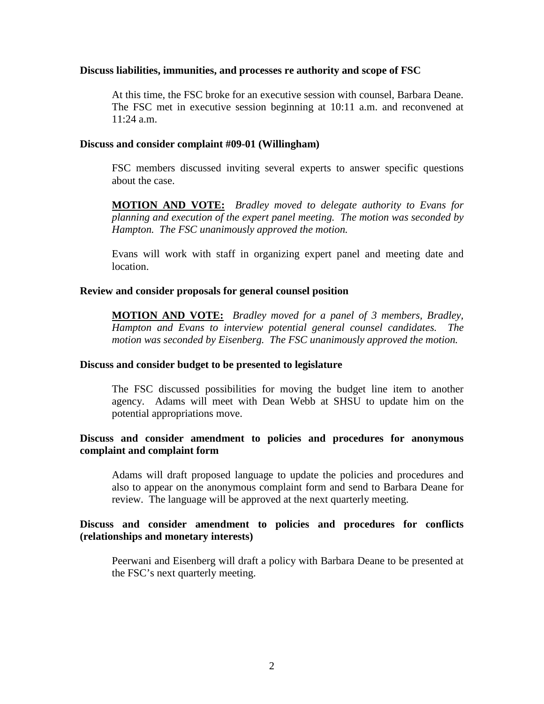### **Discuss liabilities, immunities, and processes re authority and scope of FSC**

At this time, the FSC broke for an executive session with counsel, Barbara Deane. The FSC met in executive session beginning at 10:11 a.m. and reconvened at 11:24 a.m.

### **Discuss and consider complaint #09-01 (Willingham)**

FSC members discussed inviting several experts to answer specific questions about the case.

**MOTION AND VOTE:** *Bradley moved to delegate authority to Evans for planning and execution of the expert panel meeting. The motion was seconded by Hampton. The FSC unanimously approved the motion.*

Evans will work with staff in organizing expert panel and meeting date and location.

### **Review and consider proposals for general counsel position**

**MOTION AND VOTE:** *Bradley moved for a panel of 3 members, Bradley, Hampton and Evans to interview potential general counsel candidates. The motion was seconded by Eisenberg. The FSC unanimously approved the motion.*

#### **Discuss and consider budget to be presented to legislature**

The FSC discussed possibilities for moving the budget line item to another agency. Adams will meet with Dean Webb at SHSU to update him on the potential appropriations move.

## **Discuss and consider amendment to policies and procedures for anonymous complaint and complaint form**

Adams will draft proposed language to update the policies and procedures and also to appear on the anonymous complaint form and send to Barbara Deane for review. The language will be approved at the next quarterly meeting.

## **Discuss and consider amendment to policies and procedures for conflicts (relationships and monetary interests)**

Peerwani and Eisenberg will draft a policy with Barbara Deane to be presented at the FSC's next quarterly meeting.